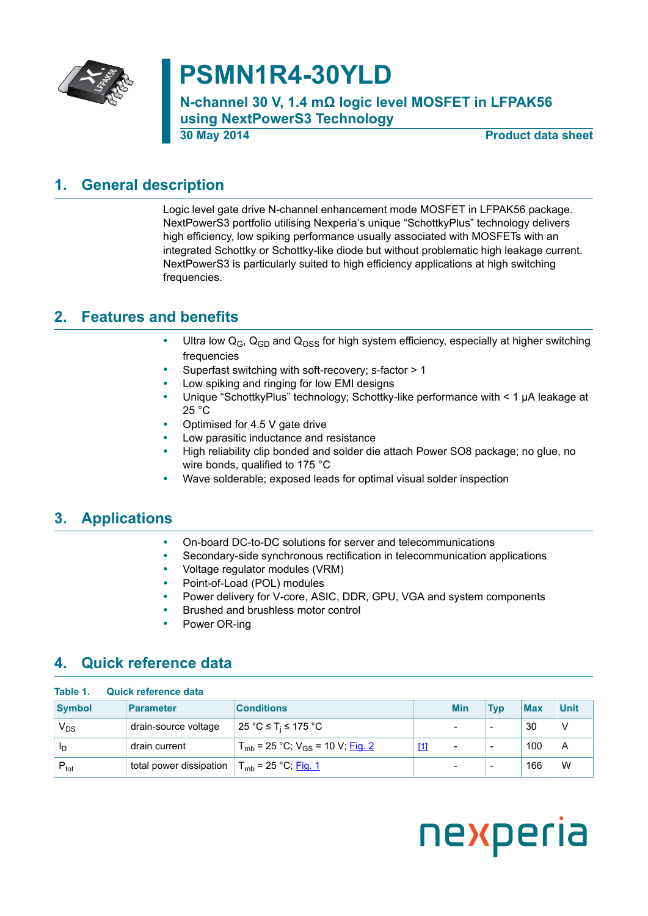

# **PSMN1R4-30YLD**

**N-channel 30 V, 1.4 mΩ logic level MOSFET in LFPAK56 using NextPowerS3 Technology**

**30 May 2014 Product data sheet**

### **1. General description**

<span id="page-0-0"></span>Logic level gate drive N-channel enhancement mode MOSFET in LFPAK56 package. NextPowerS3 portfolio utilising Nexperia's unique "SchottkyPlus" technology delivers high efficiency, low spiking performance usually associated with MOSFETs with an integrated Schottky or Schottky-like diode but without problematic high leakage current. NextPowerS3 is particularly suited to high efficiency applications at high switching frequencies.

### **2. Features and benefits**

- <span id="page-0-1"></span>Ultra low  $Q_G$ ,  $Q_{GD}$  and  $Q_{OSS}$  for high system efficiency, especially at higher switching frequencies
- Superfast switching with soft-recovery; s-factor > 1
- Low spiking and ringing for low EMI designs
- Unique "SchottkyPlus" technology; Schottky-like performance with < 1 µA leakage at 25 °C
- Optimised for 4.5 V gate drive
- Low parasitic inductance and resistance
- High reliability clip bonded and solder die attach Power SO8 package; no glue, no wire bonds, qualified to 175 °C
- Wave solderable; exposed leads for optimal visual solder inspection

#### **3. Applications**

- <span id="page-0-2"></span>• On-board DC-to-DC solutions for server and telecommunications
- Secondary-side synchronous rectification in telecommunication applications
- Voltage regulator modules (VRM)
- Point-of-Load (POL) modules
- Power delivery for V-core, ASIC, DDR, GPU, VGA and system components
- Brushed and brushless motor control
- <span id="page-0-3"></span>Power OR-ing

#### **4. Quick reference data**

| Table 1.         | Quick reference data    |                                                         |                                                                                                                                                                                                                                                                                                                                                                                                                                                                                                                                                                                                                                                                                                                                                                                                                                                                                     |                          |                          |            |      |
|------------------|-------------------------|---------------------------------------------------------|-------------------------------------------------------------------------------------------------------------------------------------------------------------------------------------------------------------------------------------------------------------------------------------------------------------------------------------------------------------------------------------------------------------------------------------------------------------------------------------------------------------------------------------------------------------------------------------------------------------------------------------------------------------------------------------------------------------------------------------------------------------------------------------------------------------------------------------------------------------------------------------|--------------------------|--------------------------|------------|------|
| <b>Symbol</b>    | <b>Parameter</b>        | <b>Conditions</b>                                       |                                                                                                                                                                                                                                                                                                                                                                                                                                                                                                                                                                                                                                                                                                                                                                                                                                                                                     | <b>Min</b>               | <b>Typ</b>               | <b>Max</b> | Unit |
| $V_{DS}$         | drain-source voltage    | 25 °C ≤ T <sub>i</sub> ≤ 175 °C                         |                                                                                                                                                                                                                                                                                                                                                                                                                                                                                                                                                                                                                                                                                                                                                                                                                                                                                     |                          | $\overline{\phantom{0}}$ | 30         | ν    |
| ΙD               | drain current           | $T_{mb}$ = 25 °C; V <sub>GS</sub> = 10 V; <u>Fig. 2</u> | $[1] % \centering \includegraphics[width=0.9\textwidth]{images/TrDiS/N-Architecture.png} \caption{The first two different values of $S$ and $S$ are shown in the left, the first two different values of $S$ and $S$ are shown in the right, and the second two different values of $S$ are shown in the right, and the second two different values of $S$ are shown in the right, and the third two different values of $S$ are shown in the right, and the third two different values of $S$ are shown in the right, and the third two different values of $S$ are shown in the right, and the third two different values of $S$ are shown in the right, and the third two different values of $S$ are shown in the right, and the third two different values of $S$ are shown in the right, and the third two different values of $S$ are shown in the right, and the third two$ | $\overline{\phantom{0}}$ | $\overline{\phantom{0}}$ | 100        | A    |
| $P_{\text{tot}}$ | total power dissipation | $T_{mb}$ = 25 °C; Fig. 1                                |                                                                                                                                                                                                                                                                                                                                                                                                                                                                                                                                                                                                                                                                                                                                                                                                                                                                                     |                          | $\overline{\phantom{0}}$ | 166        | W    |

# nexperia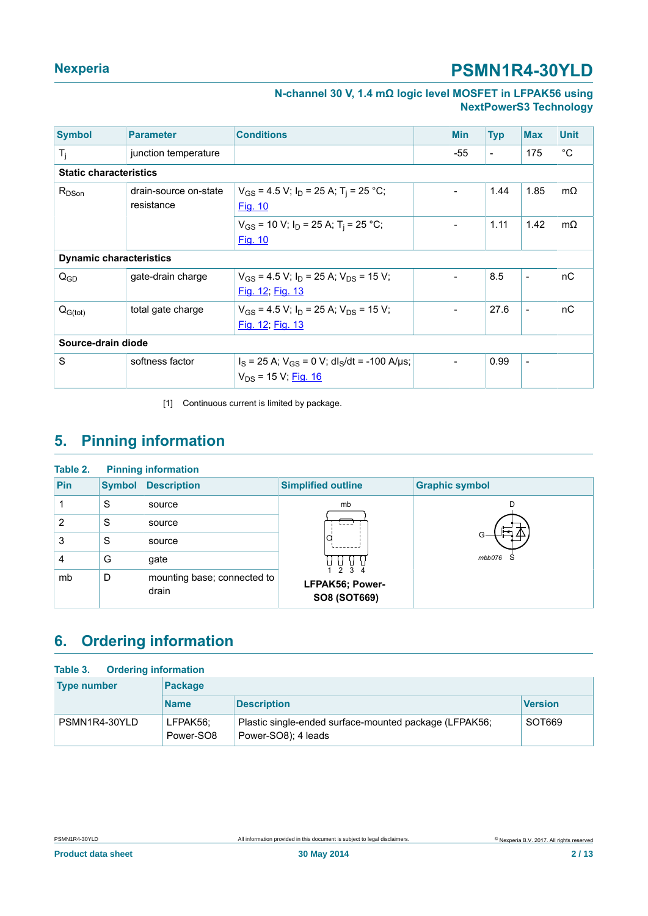**N-channel 30 V, 1.4 mΩ logic level MOSFET in LFPAK56 using NextPowerS3 Technology**

<span id="page-1-0"></span>

| <b>Symbol</b>                  | <b>Parameter</b>                    | <b>Conditions</b>                                                                          | <b>Min</b>               | <b>Typ</b>               | <b>Max</b>               | <b>Unit</b> |
|--------------------------------|-------------------------------------|--------------------------------------------------------------------------------------------|--------------------------|--------------------------|--------------------------|-------------|
| $T_j$                          | junction temperature                |                                                                                            | $-55$                    | $\overline{\phantom{a}}$ | 175                      | $^{\circ}C$ |
| <b>Static characteristics</b>  |                                     |                                                                                            |                          |                          |                          |             |
| $R_{DSon}$                     | drain-source on-state<br>resistance | $V_{GS}$ = 4.5 V; $I_D$ = 25 A; T <sub>i</sub> = 25 °C;<br>Fig. 10                         | $\blacksquare$           | 1.44                     | 1.85                     | $m\Omega$   |
|                                |                                     | $V_{GS}$ = 10 V; $I_D$ = 25 A; T <sub>i</sub> = 25 °C;<br>Fig. 10                          | $\overline{\phantom{a}}$ | 1.11                     | 1.42                     | $m\Omega$   |
| <b>Dynamic characteristics</b> |                                     |                                                                                            |                          |                          |                          |             |
| $Q_{GD}$                       | gate-drain charge                   | $V_{GS}$ = 4.5 V; $I_D$ = 25 A; $V_{DS}$ = 15 V;<br>Fig. 12; Fig. 13                       | $\blacksquare$           | 8.5                      | $\overline{\phantom{0}}$ | nC          |
| $Q_{G(tot)}$                   | total gate charge                   | $V_{GS}$ = 4.5 V; $I_D$ = 25 A; $V_{DS}$ = 15 V;<br>Fig. 12; Fig. 13                       | $\overline{\phantom{a}}$ | 27.6                     | $\overline{\phantom{a}}$ | nC          |
| Source-drain diode             |                                     |                                                                                            |                          |                          |                          |             |
| S                              | softness factor                     | $I_S$ = 25 A; $V_{GS}$ = 0 V; dl <sub>S</sub> /dt = -100 A/µs;<br>$V_{DS}$ = 15 V; Fig. 16 | $\overline{a}$           | 0.99                     | $\blacksquare$           |             |

<span id="page-1-1"></span>[1] Continuous current is limited by package.

### **5. Pinning information**

| Table 2. |               | <b>Pinning information</b>           |                                         |                        |
|----------|---------------|--------------------------------------|-----------------------------------------|------------------------|
| Pin      | <b>Symbol</b> | <b>Description</b>                   | <b>Simplified outline</b>               | <b>Graphic symbol</b>  |
|          | S             | source                               | mb                                      |                        |
| 2        | S             | source                               |                                         |                        |
| 3        | S             | source                               |                                         |                        |
| 4        | G             | gate                                 |                                         | mbb076<br><sub>S</sub> |
| mb       | D             | mounting base; connected to<br>drain | 1234<br>LFPAK56; Power-<br>SO8 (SOT669) |                        |

### <span id="page-1-2"></span>**6. Ordering information**

| <b>Ordering information</b><br>Table 3. |                       |                                                                               |                |  |
|-----------------------------------------|-----------------------|-------------------------------------------------------------------------------|----------------|--|
| <b>Type number</b>                      | Package               |                                                                               |                |  |
|                                         | <b>Name</b>           | <b>Description</b>                                                            | <b>Version</b> |  |
| PSMN1R4-30YLD                           | LFPAK56;<br>Power-SO8 | Plastic single-ended surface-mounted package (LFPAK56;<br>Power-SO8); 4 leads | SOT669         |  |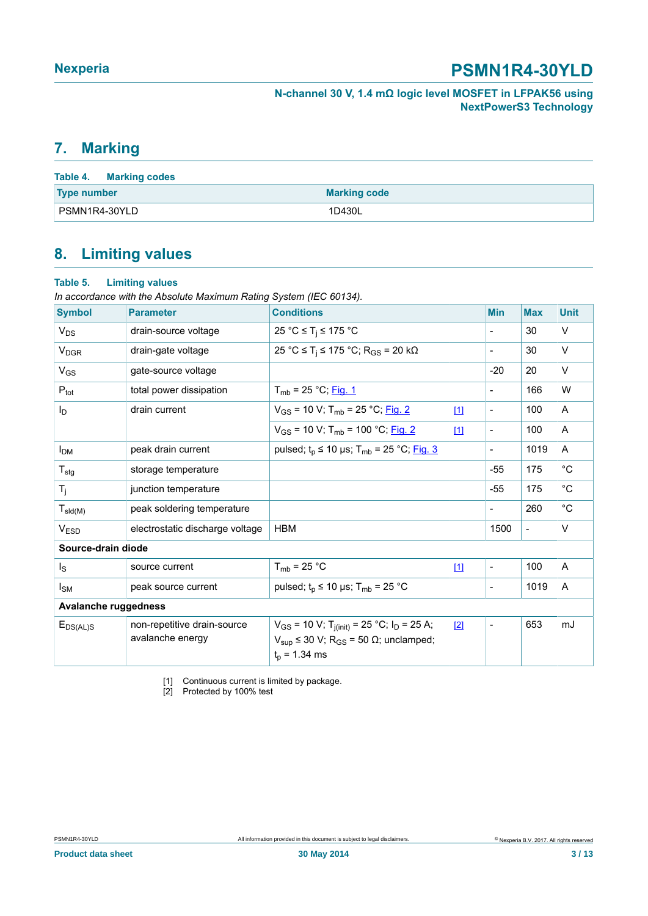**N-channel 30 V, 1.4 mΩ logic level MOSFET in LFPAK56 using NextPowerS3 Technology**

#### <span id="page-2-1"></span><span id="page-2-0"></span>**7. Marking**

| Table 4. Marking codes |                     |
|------------------------|---------------------|
| <b>Type number</b>     | <b>Marking code</b> |
| PSMN1R4-30YLD          | 1D430L              |

### <span id="page-2-2"></span>**8. Limiting values**

| Table 5.                    | <b>Limiting values</b><br>In accordance with the Absolute Maximum Rating System (IEC 60134). |                                                                                                                                                                   |       |                          |                |              |
|-----------------------------|----------------------------------------------------------------------------------------------|-------------------------------------------------------------------------------------------------------------------------------------------------------------------|-------|--------------------------|----------------|--------------|
| <b>Symbol</b>               | <b>Parameter</b>                                                                             | <b>Conditions</b>                                                                                                                                                 |       | <b>Min</b>               | <b>Max</b>     | <b>Unit</b>  |
| $V_{DS}$                    | drain-source voltage                                                                         | 25 °C $\leq$ T <sub>i</sub> $\leq$ 175 °C                                                                                                                         |       | $\overline{\phantom{a}}$ | 30             | V            |
| <b>V<sub>DGR</sub></b>      | drain-gate voltage                                                                           | 25 °C ≤ T <sub>i</sub> ≤ 175 °C; R <sub>GS</sub> = 20 kΩ                                                                                                          |       | $\overline{\phantom{a}}$ | 30             | V            |
| $V_{GS}$                    | gate-source voltage                                                                          |                                                                                                                                                                   |       | $-20$                    | 20             | V            |
| $P_{\text{tot}}$            | total power dissipation                                                                      | $T_{mb}$ = 25 °C; Fig. 1                                                                                                                                          |       | $\overline{\phantom{0}}$ | 166            | W            |
| ΙD                          | drain current                                                                                | $V_{GS}$ = 10 V; T <sub>mb</sub> = 25 °C; Fig. 2                                                                                                                  | $[1]$ | $\overline{\phantom{a}}$ | 100            | A            |
|                             |                                                                                              | $V_{GS}$ = 10 V; T <sub>mb</sub> = 100 °C; Fig. 2                                                                                                                 | 111   | $\overline{\phantom{a}}$ | 100            | A            |
| <b>I<sub>DM</sub></b>       | peak drain current                                                                           | pulsed; $t_p \le 10$ µs; T <sub>mb</sub> = 25 °C; <u>Fig. 3</u>                                                                                                   |       | $\overline{\phantom{a}}$ | 1019           | A            |
| $T_{\text{stg}}$            | storage temperature                                                                          |                                                                                                                                                                   |       | $-55$                    | 175            | $^{\circ}C$  |
| $T_i$                       | junction temperature                                                                         |                                                                                                                                                                   |       | $-55$                    | 175            | $^{\circ}C$  |
| $T_{\text{sld(M)}}$         | peak soldering temperature                                                                   |                                                                                                                                                                   |       | $\overline{\phantom{a}}$ | 260            | $^{\circ}$ C |
| V <sub>ESD</sub>            | electrostatic discharge voltage                                                              | <b>HBM</b>                                                                                                                                                        |       | 1500                     | $\blacksquare$ | V            |
| Source-drain diode          |                                                                                              |                                                                                                                                                                   |       |                          |                |              |
| $I_{\rm S}$                 | source current                                                                               | $T_{mb}$ = 25 °C                                                                                                                                                  | $[1]$ | $\overline{\phantom{a}}$ | 100            | A            |
| $I_{SM}$                    | peak source current                                                                          | pulsed; $t_p \le 10 \text{ }\mu\text{s}$ ; T <sub>mb</sub> = 25 °C                                                                                                |       | $\blacksquare$           | 1019           | A            |
| <b>Avalanche ruggedness</b> |                                                                                              |                                                                                                                                                                   |       |                          |                |              |
| $E_{DS(AL)S}$               | non-repetitive drain-source<br>avalanche energy                                              | $V_{GS}$ = 10 V; T <sub>j(init)</sub> = 25 °C; I <sub>D</sub> = 25 A;<br>$V_{\text{sup}} \le 30$ V; R <sub>GS</sub> = 50 $\Omega$ ; unclamped;<br>$t_0$ = 1.34 ms | [2]   | $\overline{\phantom{a}}$ | 653            | mJ           |

[1] Continuous current is limited by package.

[2] Protected by 100% test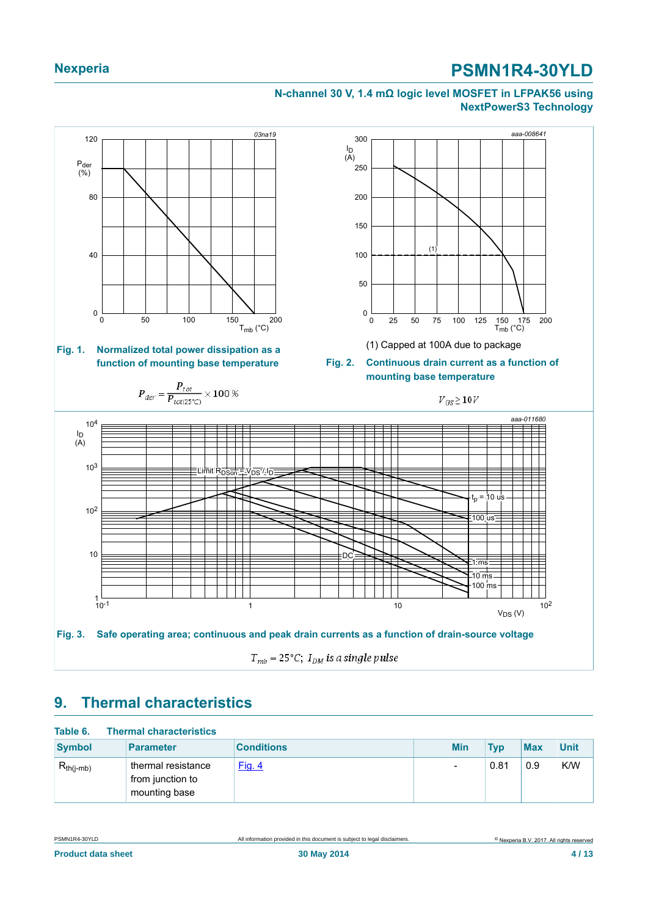#### <span id="page-3-0"></span>**N-channel 30 V, 1.4 mΩ logic level MOSFET in LFPAK56 using NextPowerS3 Technology**

<span id="page-3-1"></span>

### <span id="page-3-3"></span><span id="page-3-2"></span>**9. Thermal characteristics**

| Table 6.       | <b>Thermal characteristics</b>                          |                   |            |            |            |             |
|----------------|---------------------------------------------------------|-------------------|------------|------------|------------|-------------|
| <b>Symbol</b>  | <b>Parameter</b>                                        | <b>Conditions</b> | <b>Min</b> | <b>Typ</b> | <b>Max</b> | <b>Unit</b> |
| $R_{th(i-mb)}$ | thermal resistance<br>from junction to<br>mounting base | Fig. 4            | Ξ          | 0.81       | 0.9        | K/W         |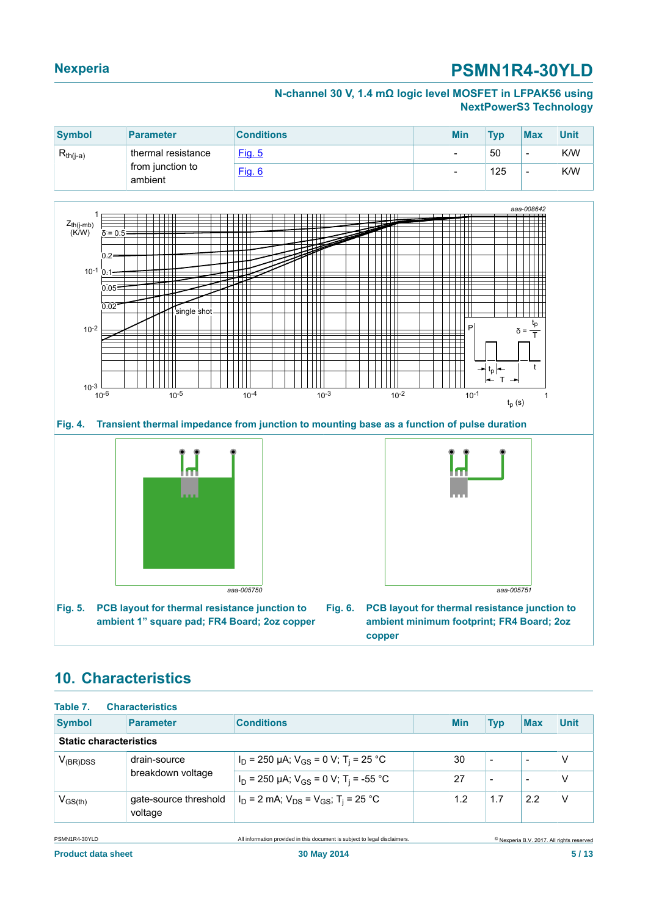#### **N-channel 30 V, 1.4 mΩ logic level MOSFET in LFPAK56 using NextPowerS3 Technology**

| <b>Symbol</b>               | <b>Parameter</b>   | <b>Conditions</b> | <b>Min</b> | Tvn                      | <b>Max</b>               | Unit |
|-----------------------------|--------------------|-------------------|------------|--------------------------|--------------------------|------|
| $R_{th(j-a)}$               | thermal resistance | Fig. 5            | -          | 50                       | $\overline{\phantom{0}}$ | K/W  |
| from junction to<br>ambient | Fig. 6             | -                 | 125        | $\overline{\phantom{0}}$ | K/W                      |      |

<span id="page-4-0"></span>

**Fig. 4. Transient thermal impedance from junction to mounting base as a function of pulse duration**

<span id="page-4-1"></span>

<span id="page-4-2"></span>

**Fig. 6. PCB layout for thermal resistance junction to ambient minimum footprint; FR4 Board; 2oz copper**

### <span id="page-4-3"></span>**10. Characteristics**

| Table 7.                      | <b>Characteristics</b>           |                                                            |            |                          |                          |             |
|-------------------------------|----------------------------------|------------------------------------------------------------|------------|--------------------------|--------------------------|-------------|
| <b>Symbol</b>                 | <b>Parameter</b>                 | <b>Conditions</b>                                          | <b>Min</b> | <b>Typ</b>               | <b>Max</b>               | <b>Unit</b> |
|                               | <b>Static characteristics</b>    |                                                            |            |                          |                          |             |
| drain-source<br>$V_{(BR)DSS}$ |                                  | $I_D$ = 250 µA; $V_{GS}$ = 0 V; T <sub>i</sub> = 25 °C     | 30         | $\overline{\phantom{a}}$ | $\overline{\phantom{0}}$ | ν           |
|                               | breakdown voltage                | $I_D$ = 250 µA; $V_{GS}$ = 0 V; T <sub>i</sub> = -55 °C    | 27         | $\overline{\phantom{0}}$ | $\overline{\phantom{0}}$ | ٧           |
| $V_{GS(th)}$                  | gate-source threshold<br>voltage | $I_D$ = 2 mA; $V_{DS}$ = $V_{GS}$ ; T <sub>i</sub> = 25 °C | 1.2        | 1.7                      | 2.2                      | $\vee$      |

PSMN1R4-30YLD All information provided in this document is subject to legal disclaimers.

© Nexperia B.V. 2017. All rights reserved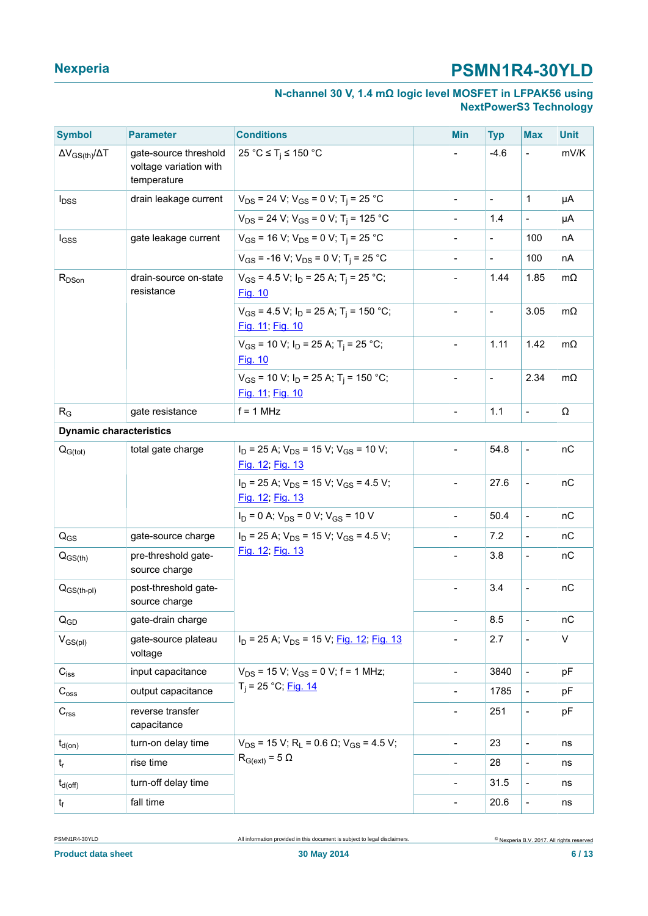#### **N-channel 30 V, 1.4 mΩ logic level MOSFET in LFPAK56 using NextPowerS3 Technology**

| <b>Symbol</b>                     | <b>Parameter</b>                                               | <b>Conditions</b>                                                            | <b>Min</b>               | <b>Typ</b>               | <b>Max</b>               | <b>Unit</b>  |
|-----------------------------------|----------------------------------------------------------------|------------------------------------------------------------------------------|--------------------------|--------------------------|--------------------------|--------------|
| $\Delta V_{GS(th)} / \Delta T$    | gate-source threshold<br>voltage variation with<br>temperature | 25 °C $\leq$ T <sub>i</sub> $\leq$ 150 °C                                    |                          | $-4.6$                   | $\frac{1}{2}$            | mV/K         |
| <b>l</b> <sub>DSS</sub>           | drain leakage current                                          | $V_{DS}$ = 24 V; V <sub>GS</sub> = 0 V; T <sub>i</sub> = 25 °C               | $\overline{\phantom{a}}$ | $\overline{\phantom{a}}$ | $\mathbf{1}$             | μA           |
|                                   |                                                                | $V_{DS}$ = 24 V; V <sub>GS</sub> = 0 V; T <sub>i</sub> = 125 °C              | $\blacksquare$           | 1.4                      | $\frac{1}{2}$            | μA           |
| lgss                              | gate leakage current                                           | $V_{GS}$ = 16 V; $V_{DS}$ = 0 V; T <sub>i</sub> = 25 °C                      | $\frac{1}{2}$            | $\frac{1}{2}$            | 100                      | nA           |
|                                   |                                                                | $V_{GS}$ = -16 V; V <sub>DS</sub> = 0 V; T <sub>i</sub> = 25 °C              |                          | $\blacksquare$           | 100                      | nA           |
| R <sub>DSon</sub>                 | drain-source on-state<br>resistance                            | $V_{GS}$ = 4.5 V; $I_D$ = 25 A; T <sub>i</sub> = 25 °C;<br>Fig. 10           |                          | 1.44                     | 1.85                     | $m\Omega$    |
|                                   |                                                                | $V_{GS}$ = 4.5 V; $I_D$ = 25 A; T <sub>i</sub> = 150 °C;<br>Fig. 11; Fig. 10 |                          | $\blacksquare$           | 3.05                     | $m\Omega$    |
|                                   |                                                                | $V_{GS}$ = 10 V; $I_D$ = 25 A; T <sub>i</sub> = 25 °C;<br>Fig. 10            | $\overline{\phantom{a}}$ | 1.11                     | 1.42                     | $m\Omega$    |
|                                   |                                                                | $V_{GS}$ = 10 V; $I_D$ = 25 A; T <sub>i</sub> = 150 °C;<br>Fig. 11, Fig. 10  | $\overline{a}$           | $\overline{\phantom{a}}$ | 2.34                     | $m\Omega$    |
| $R_G$                             | gate resistance                                                | $f = 1$ MHz                                                                  | $\blacksquare$           | 1.1                      | $\blacksquare$           | Ω            |
| <b>Dynamic characteristics</b>    |                                                                |                                                                              |                          |                          |                          |              |
| $Q_{G(tot)}$<br>total gate charge |                                                                | $I_D$ = 25 A; $V_{DS}$ = 15 V; $V_{GS}$ = 10 V;<br>Fig. 12; Fig. 13          | $\blacksquare$           | 54.8                     | $\blacksquare$           | nC           |
|                                   |                                                                | $I_D$ = 25 A; $V_{DS}$ = 15 V; V <sub>GS</sub> = 4.5 V;<br>Fig. 12; Fig. 13  | $\frac{1}{2}$            | 27.6                     | $\overline{a}$           | nC           |
|                                   |                                                                | $I_D = 0$ A; $V_{DS} = 0$ V; $V_{GS} = 10$ V                                 | $\frac{1}{2}$            | 50.4                     | $\frac{1}{2}$            | nC           |
| $\mathsf{Q}_{\mathsf{GS}}$        | gate-source charge                                             | $I_D$ = 25 A; $V_{DS}$ = 15 V; $V_{GS}$ = 4.5 V;                             | $\frac{1}{2}$            | 7.2                      | $\blacksquare$           | nC           |
| $Q_{GS(th)}$                      | pre-threshold gate-<br>source charge                           | Fig. 12; Fig. 13                                                             | $\overline{a}$           | 3.8                      | $\blacksquare$           | nC           |
| $Q_{GS(th-pl}$                    | post-threshold gate-<br>source charge                          |                                                                              | $\frac{1}{2}$            | 3.4                      | $\frac{1}{2}$            | nC           |
| $\mathsf{Q}_{\mathsf{GD}}$        | gate-drain charge                                              |                                                                              | $\overline{\phantom{a}}$ | 8.5                      | $\overline{\phantom{a}}$ | nC           |
| $V_{GS(pl)}$                      | gate-source plateau<br>voltage                                 | $I_D$ = 25 A; $V_{DS}$ = 15 V; Fig. 12; Fig. 13                              | $\frac{1}{2}$            | 2.7                      | $\blacksquare$           | $\mathsf{V}$ |
| $\mathbf{C}_{\mathsf{iss}}$       | input capacitance                                              | $V_{DS}$ = 15 V; $V_{GS}$ = 0 V; f = 1 MHz;                                  | $\overline{\phantom{a}}$ | 3840                     | $\overline{\phantom{a}}$ | pF           |
| $C_{\rm{oss}}$                    | output capacitance                                             | $T_i = 25 °C;$ Fig. 14                                                       | $\overline{\phantom{a}}$ | 1785                     | $\overline{\phantom{a}}$ | pF           |
| C <sub>rss</sub>                  | reverse transfer<br>capacitance                                |                                                                              | $\overline{\phantom{a}}$ | 251                      | $\blacksquare$           | pF           |
| $t_{d(on)}$                       | turn-on delay time                                             | $V_{DS}$ = 15 V; R <sub>L</sub> = 0.6 $\Omega$ ; V <sub>GS</sub> = 4.5 V;    | $\overline{\phantom{a}}$ | 23                       | $\overline{\phantom{a}}$ | ns           |
| $t_{r}$                           | rise time                                                      | $R_{G(ext)} = 5 \Omega$                                                      | $\overline{\phantom{a}}$ | 28                       | $\overline{\phantom{a}}$ | ns           |
| $t_{d(\text{off})}$               | turn-off delay time                                            |                                                                              | $\overline{\phantom{a}}$ | 31.5                     | $\blacksquare$           | ns           |
| $t_{\rm f}$                       | fall time                                                      |                                                                              | $\overline{\phantom{a}}$ | 20.6                     | $\overline{\phantom{m}}$ | ns           |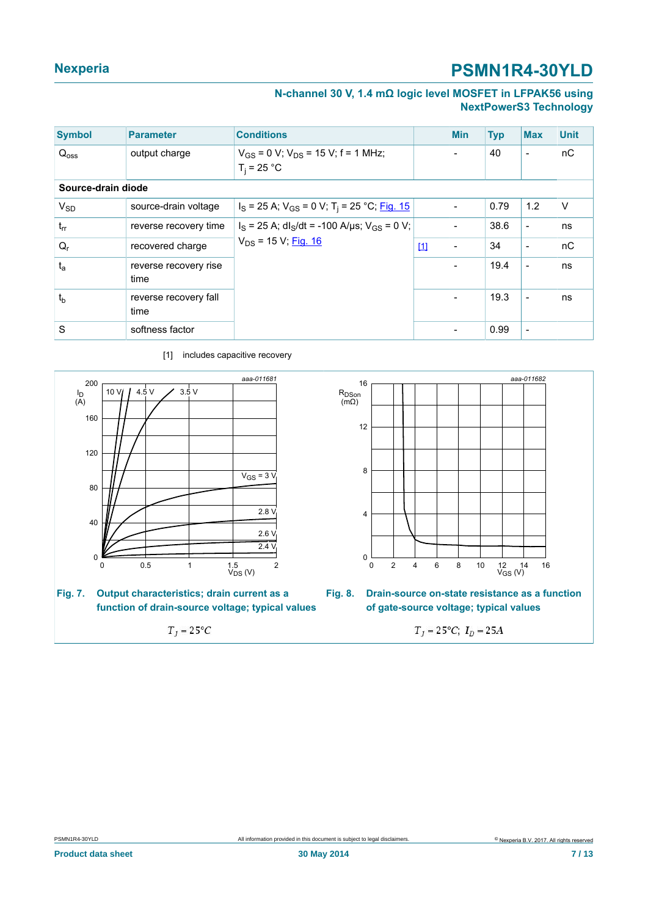#### **N-channel 30 V, 1.4 mΩ logic level MOSFET in LFPAK56 using NextPowerS3 Technology**

<span id="page-6-0"></span>

| <b>Symbol</b>      | <b>Parameter</b>              | <b>Conditions</b>                                                     |       | <b>Min</b>     | <b>Typ</b> | <b>Max</b>               | <b>Unit</b> |
|--------------------|-------------------------------|-----------------------------------------------------------------------|-------|----------------|------------|--------------------------|-------------|
| $Q_{\text{oss}}$   | output charge                 | $V_{GS}$ = 0 V; $V_{DS}$ = 15 V; f = 1 MHz;<br>$T_i = 25 °C$          |       |                | 40         | $\overline{\phantom{a}}$ | nC          |
| Source-drain diode |                               |                                                                       |       |                |            |                          |             |
| $V_{SD}$           | source-drain voltage          | $I_S$ = 25 A; $V_{GS}$ = 0 V; T <sub>i</sub> = 25 °C; <u>Fig. 15</u>  |       |                | 0.79       | 1.2                      | $\vee$      |
| $t_{rr}$           | reverse recovery time         | $I_S = 25$ A; dl <sub>S</sub> /dt = -100 A/µs; V <sub>GS</sub> = 0 V; |       |                | 38.6       | $\overline{\phantom{a}}$ | ns          |
| $Q_{r}$            | recovered charge              | $V_{DS}$ = 15 V; Fig. 16                                              | $[1]$ | $\blacksquare$ | 34         | $\overline{\phantom{a}}$ | nC          |
| $t_a$              | reverse recovery rise<br>time |                                                                       |       |                | 19.4       | $\blacksquare$           | ns          |
| $t_{\rm b}$        | reverse recovery fall<br>time |                                                                       |       | $\blacksquare$ | 19.3       | $\overline{\phantom{a}}$ | ns          |
| S                  | softness factor               |                                                                       |       |                | 0.99       | ۰                        |             |



 $T_j = 25^{\circ}C$ 

[1] includes capacitive recovery



**Fig. 8. Drain-source on-state resistance as a function of gate-source voltage; typical values**

 $T_j = 25^{\circ}C; I_D = 25A$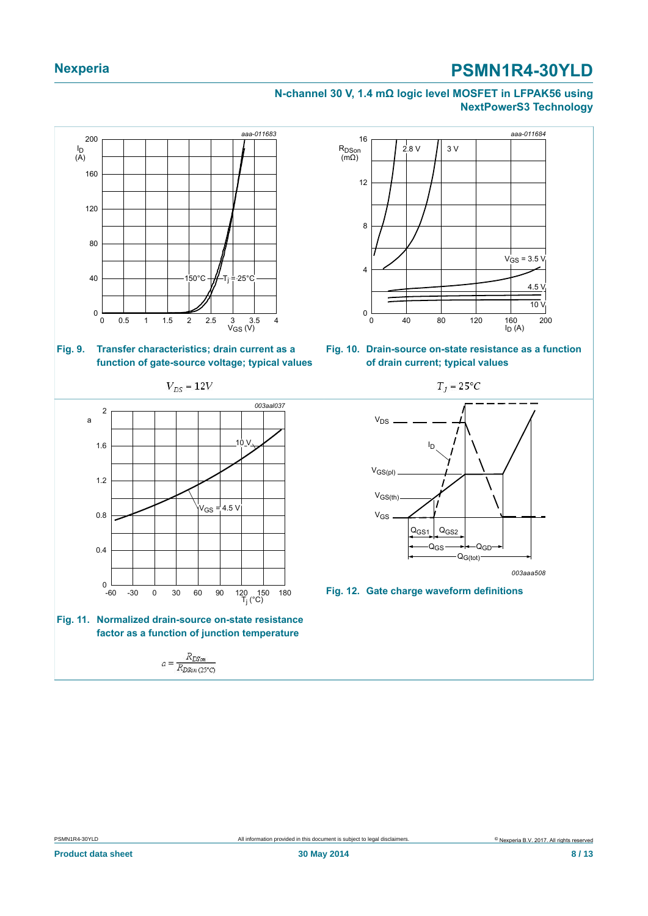#### <span id="page-7-1"></span><span id="page-7-0"></span>**N-channel 30 V, 1.4 mΩ logic level MOSFET in LFPAK56 using NextPowerS3 Technology**

<span id="page-7-2"></span>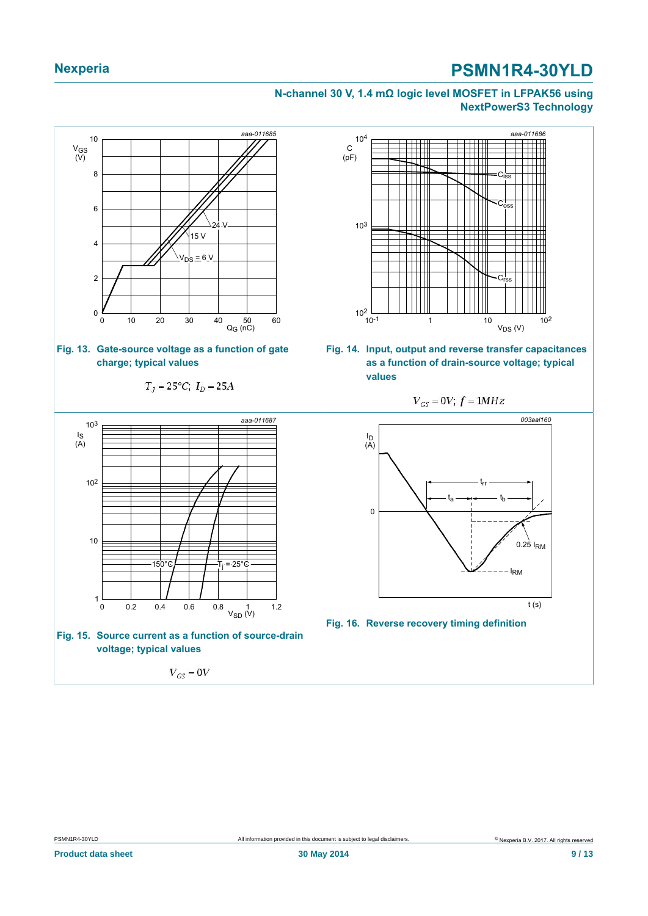#### <span id="page-8-2"></span><span id="page-8-1"></span>**N-channel 30 V, 1.4 mΩ logic level MOSFET in LFPAK56 using NextPowerS3 Technology**

<span id="page-8-3"></span><span id="page-8-0"></span>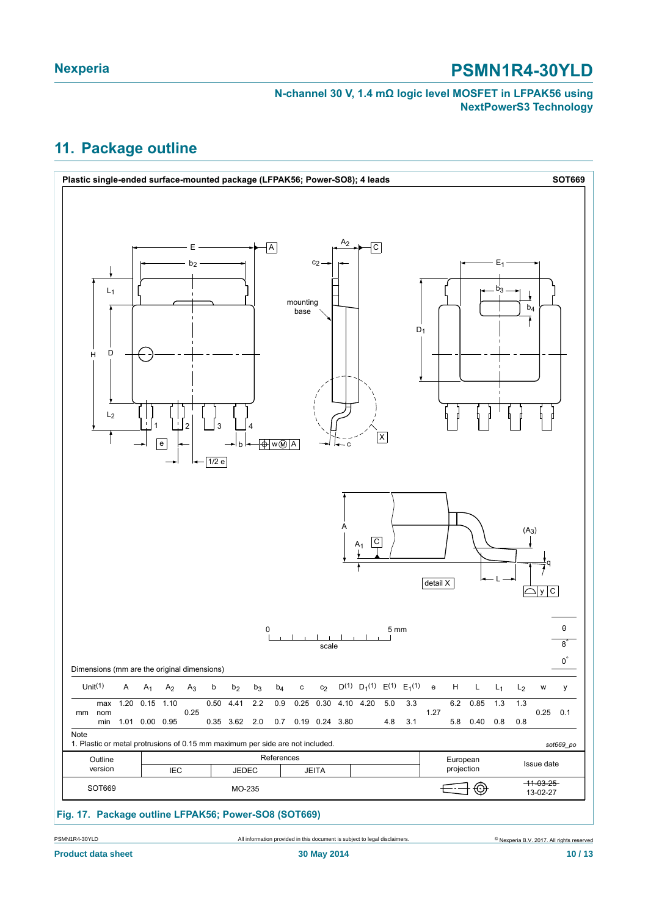#### **N-channel 30 V, 1.4 mΩ logic level MOSFET in LFPAK56 using NextPowerS3 Technology**

### <span id="page-9-0"></span>**11. Package outline**

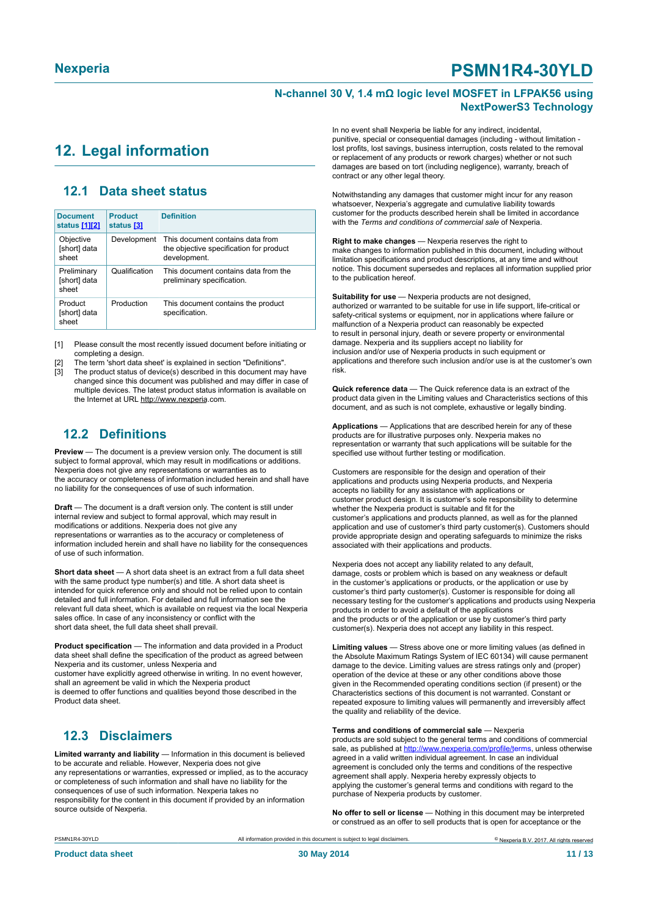#### **N-channel 30 V, 1.4 mΩ logic level MOSFET in LFPAK56 using NextPowerS3 Technology**

### <span id="page-10-1"></span><span id="page-10-0"></span>**12. Legal information**

#### <span id="page-10-2"></span>**12.1 Data sheet status**

| <b>Document</b><br>status [1][2]     | <b>Product</b><br>status [3] | <b>Definition</b>                                                                           |
|--------------------------------------|------------------------------|---------------------------------------------------------------------------------------------|
| Objective<br>[short] data<br>sheet   | Development                  | This document contains data from<br>the objective specification for product<br>development. |
| Preliminary<br>[short] data<br>sheet | Qualification                | This document contains data from the<br>preliminary specification.                          |
| Product<br>[short] data<br>sheet     | Production                   | This document contains the product<br>specification.                                        |

[1] Please consult the most recently issued document before initiating or completing a design.

[2] The term 'short data sheet' is explained in section "Definitions".

The product status of device(s) described in this document may have changed since this document was published and may differ in case of multiple devices. The latest product status information is available on the Internet at URL http://www.nexperia.com.

#### <span id="page-10-3"></span>**12.2 Definitions**

**Preview** — The document is a preview version only. The document is still subject to formal approval, which may result in modifications or additions. Nexperia does not give any representations or warranties as to the accuracy or completeness of information included herein and shall have no liability for the consequences of use of such information.

**Draft** — The document is a draft version only. The content is still under internal review and subject to formal approval, which may result in modifications or additions. Nexperia does not give any representations or warranties as to the accuracy or completeness of information included herein and shall have no liability for the consequences of use of such information.

**Short data sheet** — A short data sheet is an extract from a full data sheet with the same product type number(s) and title. A short data sheet is intended for quick reference only and should not be relied upon to contain detailed and full information. For detailed and full information see the relevant full data sheet, which is available on request via the local Nexperia sales office. In case of any inconsistency or conflict with the short data sheet, the full data sheet shall prevail.

**Product specification** — The information and data provided in a Product data sheet shall define the specification of the product as agreed between Nexperia and its customer, unless Nexperia and

customer have explicitly agreed otherwise in writing. In no event however, shall an agreement be valid in which the Nexperia product is deemed to offer functions and qualities beyond those described in the Product data sheet.

#### <span id="page-10-4"></span>**12.3 Disclaimers**

**Limited warranty and liability** — Information in this document is believed to be accurate and reliable. However, Nexperia does not give any representations or warranties, expressed or implied, as to the accuracy or completeness of such information and shall have no liability for the consequences of use of such information. Nexperia takes no responsibility for the content in this document if provided by an information source outside of Nexperia.

In no event shall Nexperia be liable for any indirect, incidental, punitive, special or consequential damages (including - without limitation lost profits, lost savings, business interruption, costs related to the removal or replacement of any products or rework charges) whether or not such damages are based on tort (including negligence), warranty, breach of contract or any other legal theory.

Notwithstanding any damages that customer might incur for any reason whatsoever, Nexperia's aggregate and cumulative liability towards customer for the products described herein shall be limited in accordance with the *Terms and conditions of commercial sale* of Nexperia.

**Right to make changes** — Nexperia reserves the right to make changes to information published in this document, including without limitation specifications and product descriptions, at any time and without notice. This document supersedes and replaces all information supplied prior to the publication hereof.

**Suitability for use** — Nexperia products are not designed, authorized or warranted to be suitable for use in life support, life-critical or safety-critical systems or equipment, nor in applications where failure or malfunction of a Nexperia product can reasonably be expected to result in personal injury, death or severe property or environmental damage. Nexperia and its suppliers accept no liability for inclusion and/or use of Nexperia products in such equipment or applications and therefore such inclusion and/or use is at the customer's own risk.

**Quick reference data** — The Quick reference data is an extract of the product data given in the Limiting values and Characteristics sections of this document, and as such is not complete, exhaustive or legally binding.

**Applications** — Applications that are described herein for any of these products are for illustrative purposes only. Nexperia makes no representation or warranty that such applications will be suitable for the specified use without further testing or modification.

Customers are responsible for the design and operation of their applications and products using Nexperia products, and Nexperia accepts no liability for any assistance with applications or customer product design. It is customer's sole responsibility to determine whether the Nexperia product is suitable and fit for the customer's applications and products planned, as well as for the planned application and use of customer's third party customer(s). Customers should provide appropriate design and operating safeguards to minimize the risks associated with their applications and products.

Nexperia does not accept any liability related to any default, damage, costs or problem which is based on any weakness or default in the customer's applications or products, or the application or use by customer's third party customer(s). Customer is responsible for doing all necessary testing for the customer's applications and products using Nexperia products in order to avoid a default of the applications and the products or of the application or use by customer's third party customer(s). Nexperia does not accept any liability in this respect.

**Limiting values** — Stress above one or more limiting values (as defined in the Absolute Maximum Ratings System of IEC 60134) will cause permanent damage to the device. Limiting values are stress ratings only and (proper) operation of the device at these or any other conditions above those given in the Recommended operating conditions section (if present) or the Characteristics sections of this document is not warranted. Constant or repeated exposure to limiting values will permanently and irreversibly affect the quality and reliability of the device.

#### **Terms and conditions of commercial sale** — Nexperia

products are sold subject to the general terms and conditions of commercial sale, as published at [http://www.nexperia.com/profile/t](http://www.nexperia.com/profile/terms)erms, unless otherwise agreed in a valid written individual agreement. In case an individual agreement is concluded only the terms and conditions of the respective agreement shall apply. Nexperia hereby expressly objects to applying the customer's general terms and conditions with regard to the purchase of Nexperia products by customer.

**No offer to sell or license** — Nothing in this document may be interpreted or construed as an offer to sell products that is open for acceptance or the

© Nexperia B.V. 2017. All rights reserved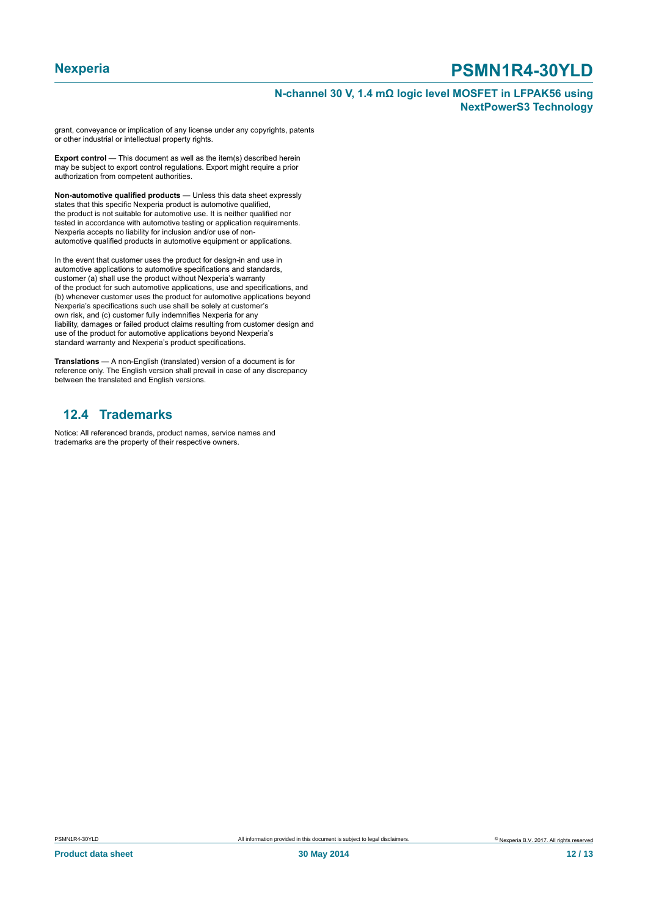#### **N-channel 30 V, 1.4 mΩ logic level MOSFET in LFPAK56 using NextPowerS3 Technology**

grant, conveyance or implication of any license under any copyrights, patents or other industrial or intellectual property rights.

**Export control** — This document as well as the item(s) described herein may be subject to export control regulations. Export might require a prior authorization from competent authorities.

**Non-automotive qualified products** — Unless this data sheet expressly states that this specific Nexperia product is automotive qualified, the product is not suitable for automotive use. It is neither qualified nor tested in accordance with automotive testing or application requirements. Nexperia accepts no liability for inclusion and/or use of nonautomotive qualified products in automotive equipment or applications.

In the event that customer uses the product for design-in and use in automotive applications to automotive specifications and standards, customer (a) shall use the product without Nexperia's warranty of the product for such automotive applications, use and specifications, and (b) whenever customer uses the product for automotive applications beyond Nexperia's specifications such use shall be solely at customer's own risk, and (c) customer fully indemnifies Nexperia for any liability, damages or failed product claims resulting from customer design and use of the product for automotive applications beyond Nexperia's standard warranty and Nexperia's product specifications.

**Translations** — A non-English (translated) version of a document is for reference only. The English version shall prevail in case of any discrepancy between the translated and English versions.

#### <span id="page-11-0"></span>**12.4 Trademarks**

Notice: All referenced brands, product names, service names and trademarks are the property of their respective owners.